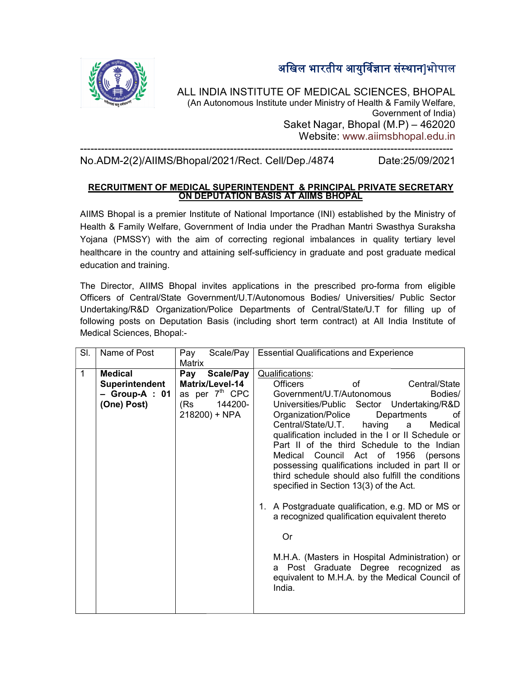अखिल भारतीय आयुर्विज्ञान संस्थान]भोपाल



ALL INDIA INSTITUTE OF MEDICAL SCIENCES, BHOPAL<br>(An Autonomous Institute under Ministry of Health & Family Welfare,<br>Government of India)<br>Saket Nagar, Bhopal (M.P) – 462020 (An Autonomous Institute under Ministry of Health & Family Welfare, ------------------------------------------------------------------------------------------------------ Government of India) Saket Nagar, Bhopal (M.P) Website: www.aiimsbhopal.edu.in

No.ADM-2(2)/AIIMS/Bhopal/2021/ /AIIMS/Bhopal/2021/Rect. Cell/Dep./4874 Date: ----------------------------------------------------------------------------------------------------------- Date:25/09/2021

## <u>RECRUITMENT OF MEDICAL SUPERINTENDENT &PRINCIPAL PRIVATE SECRETARY</u> ON DEPUTATION BASIS AT AIIMS BHOPAL BHOPAL

AIIMS Bhopal is a premier Institute of National Importance (INI) established by the Ministry of Health & Family Welfare, Government of India under the Pradhan Mantri Swasthya Suraksha Yojana (PMSSY) with the aim of correcting regional imbalances in quality healthcare in the country and attaining self-sufficiency in graduate and post graduate medical education and training. AIIMS Bhopal is a premier Institute of National Importance (INI) established by the Ministry of<br>Health & Family Welfare, Government of India under the Pradhan Mantri Swasthya Suraksha<br>Yojana (PMSSY) with the aim of c

The Director, AIIMS Bhopal invites applications in the prescribed pro The pro-forma from eligible Officers of Central/State Government/U.T/Autonomous Bodies/ Universities/ Public Sector Undertaking/R&D Organization/Police Departments of Central/State/U.T for filling up of following posts on Deputation Basis (including short term contract) at All India Institute of Medical Sciences, Bhopal: artments of Central/State/U.T for filling up of<br>ling short term contract) at All India Institute of<br>Essential Qualifications and Experience sufficiency in graduate and post graduate medical<br>ations in the prescribed pro-forma from eligible<br>Autonomous Bodies/ Universities/ Public Sector

| Name of Post<br>SI.                                                      | Scale/Pay<br>Pay<br>Matrix                                                                                  | <b>Essential Qualifications and Experience</b>                                                                                                                                                                                                                                                                                                                                                                                                                                                                                                                                                                                                                                                                                                                                                                             |  |
|--------------------------------------------------------------------------|-------------------------------------------------------------------------------------------------------------|----------------------------------------------------------------------------------------------------------------------------------------------------------------------------------------------------------------------------------------------------------------------------------------------------------------------------------------------------------------------------------------------------------------------------------------------------------------------------------------------------------------------------------------------------------------------------------------------------------------------------------------------------------------------------------------------------------------------------------------------------------------------------------------------------------------------------|--|
| <b>Medical</b><br>1<br>Superintendent<br>$-$ Group-A : 01<br>(One) Post) | <b>Scale/Pay</b><br>Pay<br>Matrix/Level-14<br>as per 7 <sup>th</sup> CPC<br>144200-<br>(Rs<br>218200) + NPA | <b>Qualifications:</b><br>Central/State<br><b>Officers</b><br>0f<br>Government/U.T/Autonomous<br>Bodies/<br>Universities/Public Sector Undertaking/R&D<br>Organization/Police<br>Departments<br>οf<br>Central/State/U.T.<br>Medical<br>having<br>a<br>qualification included in the I or II Schedule or<br>Part II of the third Schedule to the Indian<br>Medical Council Act of 1956 (persons<br>possessing qualifications included in part II or<br>third schedule should also fulfill the conditions<br>specified in Section 13(3) of the Act.<br>1. A Postgraduate qualification, e.g. MD or MS or<br>a recognized qualification equivalent thereto<br><b>Or</b><br>M.H.A. (Masters in Hospital Administration) or<br>a Post Graduate Degree recognized as<br>equivalent to M.H.A. by the Medical Council of<br>India. |  |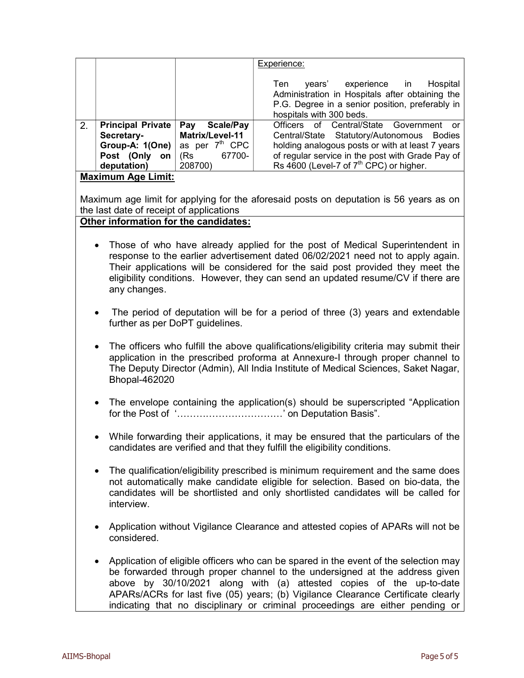|                           |                              |                            | Experience:                                                                                                                                                               |  |
|---------------------------|------------------------------|----------------------------|---------------------------------------------------------------------------------------------------------------------------------------------------------------------------|--|
|                           |                              |                            | Hospital<br>years' experience in<br>Ten<br>Administration in Hospitals after obtaining the<br>P.G. Degree in a senior position, preferably in<br>hospitals with 300 beds. |  |
| 2.                        | <b>Principal Private</b>     | <b>Scale/Pay</b><br>Pay    | Officers of Central/State Government                                                                                                                                      |  |
|                           | Secretary-   Matrix/Level-11 |                            | Central/State Statutory/Autonomous Bodies                                                                                                                                 |  |
|                           | Group-A: 1(One)              | as per 7 <sup>th</sup> CPC | holding analogous posts or with at least 7 years                                                                                                                          |  |
|                           | Post (Only<br>on             | (Rs)<br>67700-             | of regular service in the post with Grade Pay of                                                                                                                          |  |
|                           | deputation)                  | 208700)                    | Rs 4600 (Level-7 of 7 <sup>th</sup> CPC) or higher.                                                                                                                       |  |
| <b>Maximum Age Limit:</b> |                              |                            |                                                                                                                                                                           |  |

Maximum age limit for applying for the aforesaid posts on deputation is 56 years as on the last date of receipt of applications

## Other information for the candidates:

- Those of who have already applied for the post of Medical Superintendent in response to the earlier advertisement dated 06/02/2021 need not to apply again. Their applications will be considered for the said post provided they meet the eligibility conditions. However, they can send an updated resume/CV if there are any changes.
- The period of deputation will be for a period of three (3) years and extendable further as per DoPT guidelines.
- The officers who fulfill the above qualifications/eligibility criteria may submit their application in the prescribed proforma at Annexure-I through proper channel to The Deputy Director (Admin), All India Institute of Medical Sciences, Saket Nagar, Bhopal-462020
- The envelope containing the application(s) should be superscripted "Application for the Post of '……………………………' on Deputation Basis".
- While forwarding their applications, it may be ensured that the particulars of the candidates are verified and that they fulfill the eligibility conditions.
- The qualification/eligibility prescribed is minimum requirement and the same does not automatically make candidate eligible for selection. Based on bio-data, the candidates will be shortlisted and only shortlisted candidates will be called for interview.
- Application without Vigilance Clearance and attested copies of APARs will not be considered.
- Application of eligible officers who can be spared in the event of the selection may be forwarded through proper channel to the undersigned at the address given above by 30/10/2021 along with (a) attested copies of the up-to-date APARs/ACRs for last five (05) years; (b) Vigilance Clearance Certificate clearly indicating that no disciplinary or criminal proceedings are either pending or